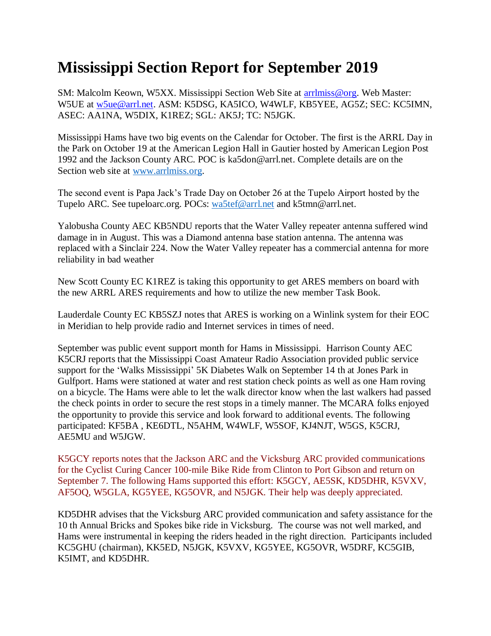## **Mississippi Section Report for September 2019**

SM: Malcolm Keown, W5XX. Mississippi Section Web Site at [arrlmiss@org.](mailto:arrlmiss@org) Web Master: W5UE at [w5ue@arrl.net.](mailto:w5ue@arrl.net) ASM: K5DSG, KA5ICO, W4WLF, KB5YEE, AG5Z; SEC: KC5IMN, ASEC: AA1NA, W5DIX, K1REZ; SGL: AK5J; TC: N5JGK.

Mississippi Hams have two big events on the Calendar for October. The first is the ARRL Day in the Park on October 19 at the American Legion Hall in Gautier hosted by American Legion Post 1992 and the Jackson County ARC. POC is ka5don@arrl.net. Complete details are on the Section web site at [www.arrlmiss.org.](http://www.arrlmiss.org/)

The second event is Papa Jack's Trade Day on October 26 at the Tupelo Airport hosted by the Tupelo ARC. See tupeloarc.org. POCs: [wa5tef@arrl.net](mailto:wa5tef@arrl.net) and k5tmn@arrl.net.

Yalobusha County AEC KB5NDU reports that the Water Valley repeater antenna suffered wind damage in in August. This was a Diamond antenna base station antenna. The antenna was replaced with a Sinclair 224. Now the Water Valley repeater has a commercial antenna for more reliability in bad weather

New Scott County EC K1REZ is taking this opportunity to get ARES members on board with the new ARRL ARES requirements and how to utilize the new member Task Book.

Lauderdale County EC KB5SZJ notes that ARES is working on a Winlink system for their EOC in Meridian to help provide radio and Internet services in times of need.

September was public event support month for Hams in Mississippi. Harrison County AEC K5CRJ reports that the Mississippi Coast Amateur Radio Association provided public service support for the 'Walks Mississippi' 5K Diabetes Walk on September 14 th at Jones Park in Gulfport. Hams were stationed at water and rest station check points as well as one Ham roving on a bicycle. The Hams were able to let the walk director know when the last walkers had passed the check points in order to secure the rest stops in a timely manner. The MCARA folks enjoyed the opportunity to provide this service and look forward to additional events. The following participated: KF5BA , KE6DTL, N5AHM, W4WLF, W5SOF, KJ4NJT, W5GS, K5CRJ, AE5MU and W5JGW.

K5GCY reports notes that the Jackson ARC and the Vicksburg ARC provided communications for the Cyclist Curing Cancer 100-mile Bike Ride from Clinton to Port Gibson and return on September 7. The following Hams supported this effort: K5GCY, AE5SK, KD5DHR, K5VXV, AF5OQ, W5GLA, KG5YEE, KG5OVR, and N5JGK. Their help was deeply appreciated.

KD5DHR advises that the Vicksburg ARC provided communication and safety assistance for the 10 th Annual Bricks and Spokes bike ride in Vicksburg. The course was not well marked, and Hams were instrumental in keeping the riders headed in the right direction. Participants included KC5GHU (chairman), KK5ED, N5JGK, K5VXV, KG5YEE, KG5OVR, W5DRF, KC5GIB, K5IMT, and KD5DHR.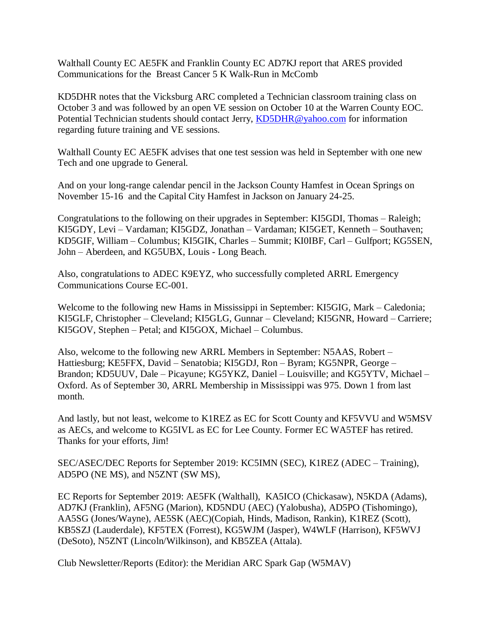Walthall County EC AE5FK and Franklin County EC AD7KJ report that ARES provided Communications for the Breast Cancer 5 K Walk-Run in McComb

KD5DHR notes that the Vicksburg ARC completed a Technician classroom training class on October 3 and was followed by an open VE session on October 10 at the Warren County EOC. Potential Technician students should contact Jerry, [KD5DHR@yahoo.com](https://mail.nts-online.net/webmail/src/compose.php?send_to=KD5DHR%40yahoo.com) for information regarding future training and VE sessions.

Walthall County EC AE5FK advises that one test session was held in September with one new Tech and one upgrade to General.

And on your long-range calendar pencil in the Jackson County Hamfest in Ocean Springs on November 15-16 and the Capital City Hamfest in Jackson on January 24-25.

Congratulations to the following on their upgrades in September: KI5GDI, Thomas – Raleigh; KI5GDY, Levi – Vardaman; KI5GDZ, Jonathan – Vardaman; KI5GET, Kenneth – Southaven; KD5GIF, William – Columbus; KI5GIK, Charles – Summit; KI0IBF, Carl – Gulfport; KG5SEN, John – Aberdeen, and KG5UBX, Louis - Long Beach.

Also, congratulations to ADEC K9EYZ, who successfully completed ARRL Emergency Communications Course EC-001.

Welcome to the following new Hams in Mississippi in September: KI5GIG, Mark – Caledonia; KI5GLF, Christopher – Cleveland; KI5GLG, Gunnar – Cleveland; KI5GNR, Howard – Carriere; KI5GOV, Stephen – Petal; and KI5GOX, Michael – Columbus.

Also, welcome to the following new ARRL Members in September: N5AAS, Robert – Hattiesburg; KE5FFX, David – Senatobia; KI5GDJ, Ron – Byram; KG5NPR, George – Brandon; KD5UUV, Dale – Picayune; KG5YKZ, Daniel – Louisville; and KG5YTV, Michael – Oxford. As of September 30, ARRL Membership in Mississippi was 975. Down 1 from last month.

And lastly, but not least, welcome to K1REZ as EC for Scott County and KF5VVU and W5MSV as AECs, and welcome to KG5IVL as EC for Lee County. Former EC WA5TEF has retired. Thanks for your efforts, Jim!

SEC/ASEC/DEC Reports for September 2019: KC5IMN (SEC), K1REZ (ADEC – Training), AD5PO (NE MS), and N5ZNT (SW MS),

EC Reports for September 2019: AE5FK (Walthall), KA5ICO (Chickasaw), N5KDA (Adams), AD7KJ (Franklin), AF5NG (Marion), KD5NDU (AEC) (Yalobusha), AD5PO (Tishomingo), AA5SG (Jones/Wayne), AE5SK (AEC)(Copiah, Hinds, Madison, Rankin), K1REZ (Scott), KB5SZJ (Lauderdale), KF5TEX (Forrest), KG5WJM (Jasper), W4WLF (Harrison), KF5WVJ (DeSoto), N5ZNT (Lincoln/Wilkinson), and KB5ZEA (Attala).

Club Newsletter/Reports (Editor): the Meridian ARC Spark Gap (W5MAV)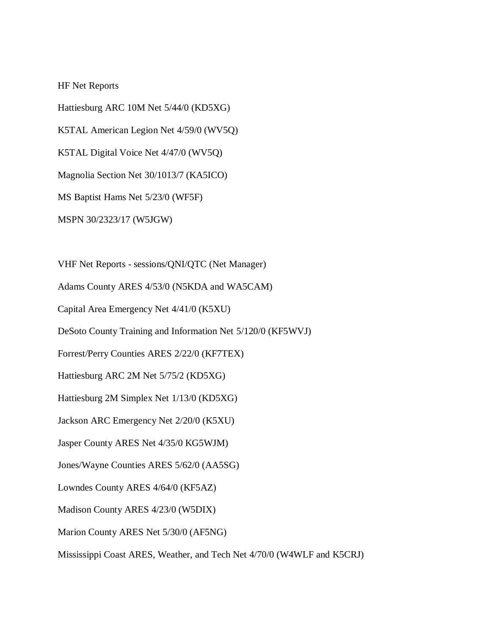HF Net Reports

Hattiesburg ARC 10M Net 5/44/0 (KD5XG) K5TAL American Legion Net 4/59/0 (WV5Q) K5TAL Digital Voice Net 4/47/0 (WV5Q) Magnolia Section Net 30/1013/7 (KA5ICO) MS Baptist Hams Net 5/23/0 (WF5F) MSPN 30/2323/17 (W5JGW)

VHF Net Reports - sessions/QNI/QTC (Net Manager)

Adams County ARES 4/53/0 (N5KDA and WA5CAM)

Capital Area Emergency Net 4/41/0 (K5XU)

DeSoto County Training and Information Net 5/120/0 (KF5WVJ)

Forrest/Perry Counties ARES 2/22/0 (KF7TEX)

Hattiesburg ARC 2M Net 5/75/2 (KD5XG)

Hattiesburg 2M Simplex Net 1/13/0 (KD5XG)

Jackson ARC Emergency Net 2/20/0 (K5XU)

Jasper County ARES Net 4/35/0 KG5WJM)

Jones/Wayne Counties ARES 5/62/0 (AA5SG)

Lowndes County ARES 4/64/0 (KF5AZ)

Madison County ARES 4/23/0 (W5DIX)

Marion County ARES Net 5/30/0 (AF5NG)

Mississippi Coast ARES, Weather, and Tech Net 4/70/0 (W4WLF and K5CRJ)